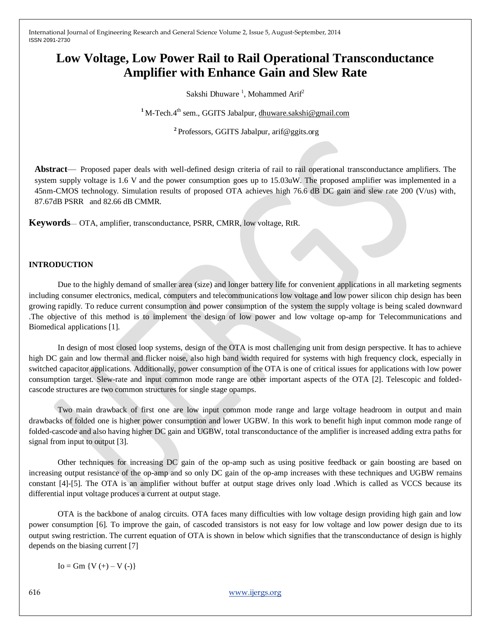# **Low Voltage, Low Power Rail to Rail Operational Transconductance Amplifier with Enhance Gain and Slew Rate**

Sakshi Dhuware<sup>1</sup>, Mohammed Arif<sup>2</sup>

<sup>1</sup> M-Tech.4<sup>th</sup> sem., GGITS Jabalpur[, dhuware.sakshi@gmail.com](mailto:dhuware.sakshi@gmail.com)

**2** Professors, GGITS Jabalpur, arif@ggits.org

**Abstract**— Proposed paper deals with well-defined design criteria of rail to rail operational transconductance amplifiers. The system supply voltage is 1.6 V and the power consumption goes up to 15.03uW. The proposed amplifier was implemented in a 45nm-CMOS technology. Simulation results of proposed OTA achieves high 76.6 dB DC gain and slew rate 200 (V/us) with, 87.67dB PSRR and 82.66 dB CMMR.

**Keywords**— OTA, amplifier, transconductance, PSRR, CMRR, low voltage, RtR.

#### **INTRODUCTION**

Due to the highly demand of smaller area (size) and longer battery life for convenient applications in all marketing segments including consumer electronics, medical, computers and telecommunications low voltage and low power silicon chip design has been growing rapidly. To reduce current consumption and power consumption of the system the supply voltage is being scaled downward .The objective of this method is to implement the design of low power and low voltage op-amp for Telecommunications and Biomedical applications [1].

In design of most closed loop systems, design of the OTA is most challenging unit from design perspective. It has to achieve high DC gain and low thermal and flicker noise, also high band width required for systems with high frequency clock, especially in switched capacitor applications. Additionally, power consumption of the OTA is one of critical issues for applications with low power consumption target. Slew-rate and input common mode range are other important aspects of the OTA [2]. Telescopic and foldedcascode structures are two common structures for single stage opamps.

Two main drawback of first one are low input common mode range and large voltage headroom in output and main drawbacks of folded one is higher power consumption and lower UGBW. In this work to benefit high input common mode range of folded-cascode and also having higher DC gain and UGBW, total transconductance of the amplifier is increased adding extra paths for signal from input to output [3].

Other techniques for increasing DC gain of the op-amp such as using positive feedback or gain boosting are based on increasing output resistance of the op-amp and so only DC gain of the op-amp increases with these techniques and UGBW remains constant [4]-[5]. The OTA is an amplifier without buffer at output stage drives only load .Which is called as VCCS because its differential input voltage produces a current at output stage.

OTA is the backbone of analog circuits. OTA faces many difficulties with low voltage design providing high gain and low power consumption [6]. To improve the gain, of cascoded transistors is not easy for low voltage and low power design due to its output swing restriction. The current equation of OTA is shown in below which signifies that the transconductance of design is highly depends on the biasing current [7]

 $Io = Gm \{V (+) - V (-)\}$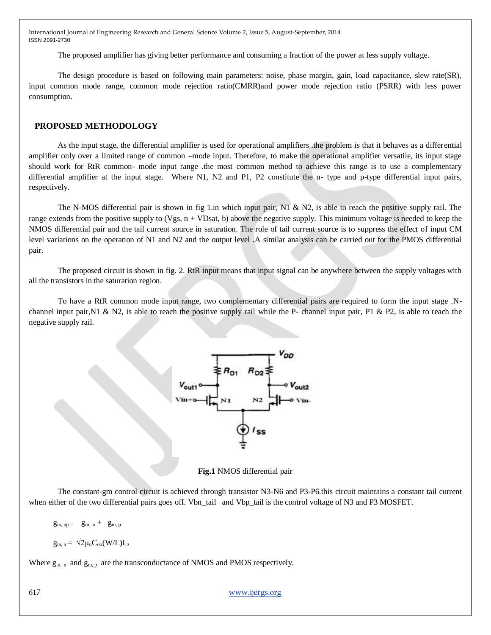The proposed amplifier has giving better performance and consuming a fraction of the power at less supply voltage.

The design procedure is based on following main parameters: noise, phase margin, gain, load capacitance, slew rate(SR), input common mode range, common mode rejection ratio(CMRR)and power mode rejection ratio (PSRR) with less power consumption.

### **PROPOSED METHODOLOGY**

As the input stage, the differential amplifier is used for operational amplifiers .the problem is that it behaves as a differential amplifier only over a limited range of common –mode input. Therefore, to make the operational amplifier versatile, its input stage should work for RtR common- mode input range .the most common method to achieve this range is to use a complementary differential amplifier at the input stage. Where N1, N2 and P1, P2 constitute the n- type and p-type differential input pairs, respectively.

The N-MOS differential pair is shown in fig 1.in which input pair, N1 & N2, is able to reach the positive supply rail. The range extends from the positive supply to (Vgs,  $n + VDsat$ , b) above the negative supply. This minimum voltage is needed to keep the NMOS differential pair and the tail current source in saturation. The role of tail current source is to suppress the effect of input CM level variations on the operation of N1 and N2 and the output level .A similar analysis can be carried out for the PMOS differential pair.

The proposed circuit is shown in fig. 2. RtR input means that input signal can be anywhere between the supply voltages with all the transistors in the saturation region.

To have a RtR common mode input range, two complementary differential pairs are required to form the input stage .Nchannel input pair,N1 & N2, is able to reach the positive supply rail while the P- channel input pair, P1 & P2, is able to reach the negative supply rail.



**Fig.1** NMOS differential pair

The constant-gm control circuit is achieved through transistor N3-N6 and P3-P6.this circuit maintains a constant tail current when either of the two differential pairs goes off. Vbn\_tail and Vbp\_tail is the control voltage of N3 and P3 MOSFET.

 $g_{m, np} = g_{m, n} + g_{m, p}$ 

$$
g_{m, n} = \sqrt{2\mu_n C_{ox}(W/L)} I_D
$$

Where  $g_{m,n}$  and  $g_{m,p}$  are the transconductance of NMOS and PMOS respectively.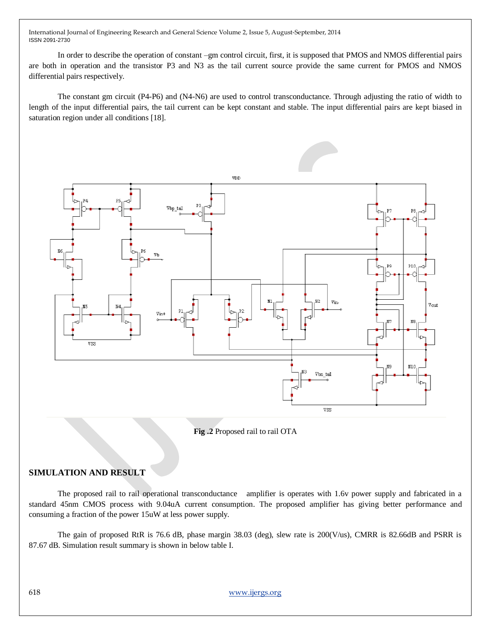In order to describe the operation of constant –gm control circuit, first, it is supposed that PMOS and NMOS differential pairs are both in operation and the transistor P3 and N3 as the tail current source provide the same current for PMOS and NMOS differential pairs respectively.

The constant gm circuit (P4-P6) and (N4-N6) are used to control transconductance. Through adjusting the ratio of width to length of the input differential pairs, the tail current can be kept constant and stable. The input differential pairs are kept biased in saturation region under all conditions [18].



**Fig .2** Proposed rail to rail OTA

# **SIMULATION AND RESULT**

The proposed rail to rail operational transconductance amplifier is operates with 1.6v power supply and fabricated in a standard 45nm CMOS process with 9.04uA current consumption. The proposed amplifier has giving better performance and consuming a fraction of the power 15uW at less power supply.

The gain of proposed RtR is 76.6 dB, phase margin 38.03 (deg), slew rate is 200(V/us), CMRR is 82.66dB and PSRR is 87.67 dB. Simulation result summary is shown in below table I.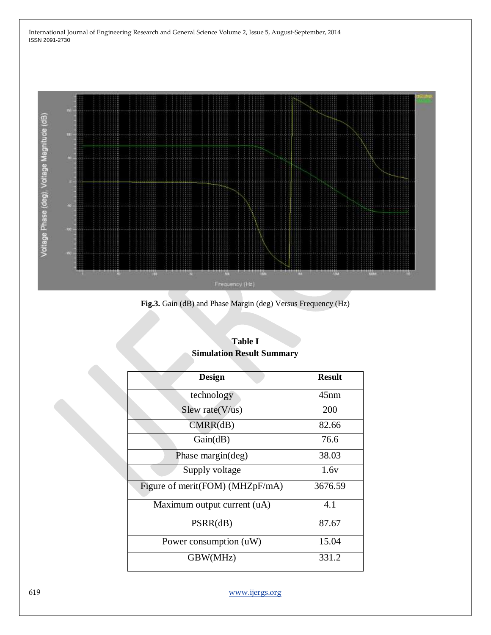

**Fig.3.** Gain (dB) and Phase Margin (deg) Versus Frequency (Hz)

| <b>Design</b>                   | <b>Result</b> |
|---------------------------------|---------------|
| technology                      | 45nm          |
| Slew rate $(V/us)$              | 200           |
| CMRR(dB)                        | 82.66         |
| Gain(dB)                        | 76.6          |
| Phase margin(deg)               | 38.03         |
| Supply voltage                  | 1.6v          |
| Figure of merit(FOM) (MHZpF/mA) | 3676.59       |
| Maximum output current (uA)     | 4.1           |
| PSRR(dB)                        | 87.67         |
| Power consumption (uW)          | 15.04         |
| GBW(MHz)                        | 331.2         |

# **Table I Simulation Result Summary**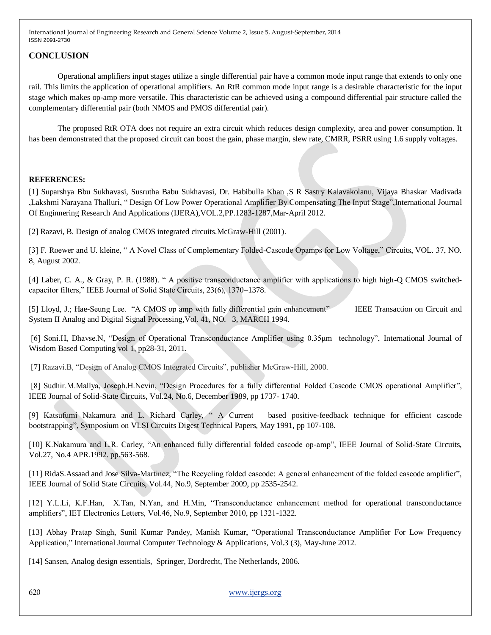# **CONCLUSION**

Operational amplifiers input stages utilize a single differential pair have a common mode input range that extends to only one rail. This limits the application of operational amplifiers. An RtR common mode input range is a desirable characteristic for the input stage which makes op-amp more versatile. This characteristic can be achieved using a compound differential pair structure called the complementary differential pair (both NMOS and PMOS differential pair).

The proposed RtR OTA does not require an extra circuit which reduces design complexity, area and power consumption. It has been demonstrated that the proposed circuit can boost the gain, phase margin, slew rate, CMRR, PSRR using 1.6 supply voltages.

#### **REFERENCES:**

[1] Suparshya Bbu Sukhavasi, Susrutha Babu Sukhavasi, Dr. Habibulla Khan ,S R Sastry Kalavakolanu, Vijaya Bhaskar Madivada ,Lakshmi Narayana Thalluri, "Design Of Low Power Operational Amplifier By Compensating The Input Stage",International Journal Of Enginnering Research And Applications (IJERA),VOL.2,PP.1283-1287,Mar-April 2012.

[2] Razavi, B. Design of analog CMOS integrated circuits.McGraw-Hill (2001).

[3] F. Roewer and U. kleine, "A Novel Class of Complementary Folded-Cascode Opamps for Low Voltage," Circuits, VOL. 37, NO. 8, August 2002.

[4] Laber, C. A., & Gray, P. R. (1988). " A positive transconductance amplifier with applications to high high-Q CMOS switchedcapacitor filters," IEEE Journal of Solid State Circuits, 23(6), 1370–1378.

[5] Lloyd, J.; Hae-Seung Lee. "A CMOS op amp with fully differential gain enhancement" IEEE Transaction on Circuit and System II Analog and Digital Signal Processing,Vol. 41, NO. 3, MARCH 1994.

[6] Soni.H, Dhavse.N, "Design of Operational Transconductance Amplifier using 0.35μm technology", International Journal of Wisdom Based Computing vol 1, pp28-31, 2011.

[7] Razavi.B, "Design of Analog CMOS Integrated Circuits", publisher McGraw-Hill, 2000.

[8] Sudhir.M.Mallya, Joseph.H.Nevin, "Design Procedures for a fully differential Folded Cascode CMOS operational Amplifier", IEEE Journal of Solid-State Circuits, Vol.24, No.6, December 1989, pp 1737- 1740.

[9] Katsufumi Nakamura and L. Richard Carley, "A Current – based positive-feedback technique for efficient cascode bootstrapping", Symposium on VLSI Circuits Digest Technical Papers, May 1991, pp 107-108.

[10] K.Nakamura and L.R. Carley, "An enhanced fully differential folded cascode op-amp", IEEE Journal of Solid-State Circuits, Vol.27, No.4 APR.1992. pp.563-568.

[11] RidaS.Assaad and Jose Silva-Martinez, "The Recycling folded cascode: A general enhancement of the folded cascode amplifier", IEEE Journal of Solid State Circuits, Vol.44, No.9, September 2009, pp 2535-2542.

[12] Y.L.Li, K.F.Han, X.Tan, N.Yan, and H.Min, "Transconductance enhancement method for operational transconductance amplifiers", IET Electronics Letters, Vol.46, No.9, September 2010, pp 1321-1322.

[13] Abhay Pratap Singh, Sunil Kumar Pandey, Manish Kumar, "Operational Transconductance Amplifier For Low Frequency Application," International Journal Computer Technology & Applications, Vol.3 (3), May-June 2012.

[14] Sansen, Analog design essentials, Springer, Dordrecht, The Netherlands, 2006.